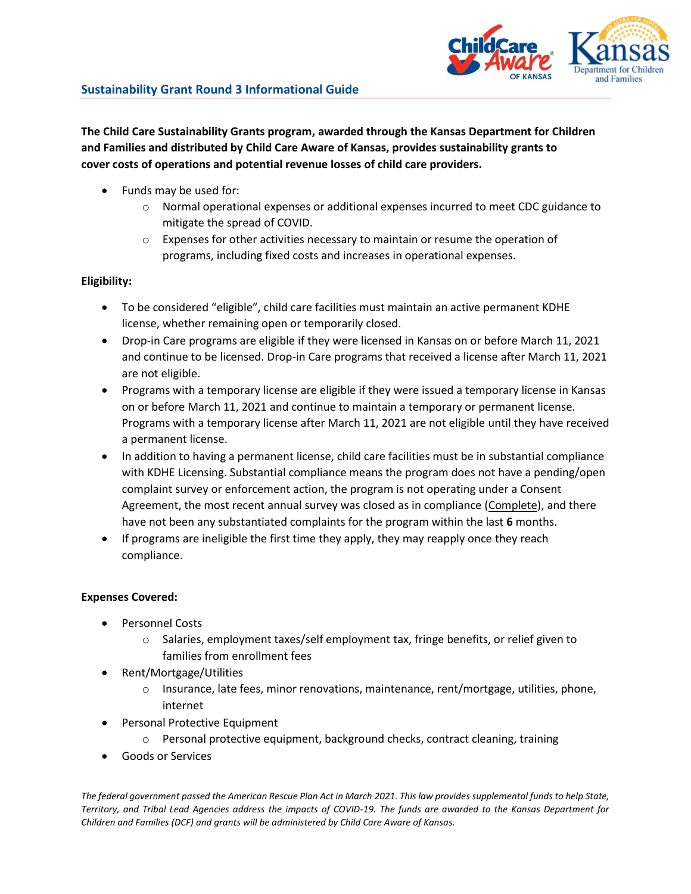

**The Child Care Sustainability Grants program, awarded through the Kansas Department for Children and Families and distributed by Child Care Aware of Kansas, provides sustainability grants to cover costs of operations and potential revenue losses of child care providers.**

- Funds may be used for:
	- $\circ$  Normal operational expenses or additional expenses incurred to meet CDC guidance to mitigate the spread of COVID.
	- o Expenses for other activities necessary to maintain or resume the operation of programs, including fixed costs and increases in operational expenses.

# **Eligibility:**

- To be considered "eligible", child care facilities must maintain an active permanent KDHE license, whether remaining open or temporarily closed.
- Drop-in Care programs are eligible if they were licensed in Kansas on or before March 11, 2021 and continue to be licensed. Drop-in Care programs that received a license after March 11, 2021 are not eligible.
- Programs with a temporary license are eligible if they were issued a temporary license in Kansas on or before March 11, 2021 and continue to maintain a temporary or permanent license. Programs with a temporary license after March 11, 2021 are not eligible until they have received a permanent license.
- In addition to having a permanent license, child care facilities must be in substantial compliance with KDHE Licensing. Substantial compliance means the program does not have a pending/open complaint survey or enforcement action, the program is not operating under a Consent Agreement, the most recent annual survey was closed as in compliance (Complete), and there have not been any substantiated complaints for the program within the last **6** months.
- If programs are ineligible the first time they apply, they may reapply once they reach compliance.

## **Expenses Covered:**

- Personnel Costs
	- $\circ$  Salaries, employment taxes/self employment tax, fringe benefits, or relief given to families from enrollment fees
- Rent/Mortgage/Utilities
	- o Insurance, late fees, minor renovations, maintenance, rent/mortgage, utilities, phone, internet
- Personal Protective Equipment
	- o Personal protective equipment, background checks, contract cleaning, training
- Goods or Services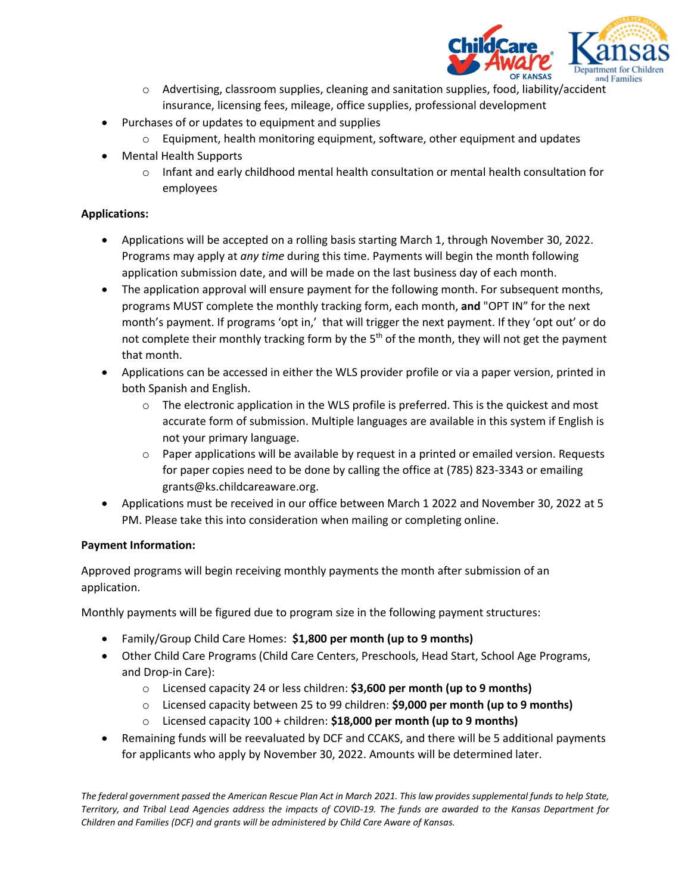

- $\circ$  Advertising, classroom supplies, cleaning and sanitation supplies, food, liability/accident insurance, licensing fees, mileage, office supplies, professional development
- Purchases of or updates to equipment and supplies
	- $\circ$  Equipment, health monitoring equipment, software, other equipment and updates
- Mental Health Supports
	- $\circ$  Infant and early childhood mental health consultation or mental health consultation for employees

# **Applications:**

- Applications will be accepted on a rolling basis starting March 1, through November 30, 2022. Programs may apply at *any time* during this time. Payments will begin the month following application submission date, and will be made on the last business day of each month.
- The application approval will ensure payment for the following month. For subsequent months, programs MUST complete the monthly tracking form, each month, **and** "OPT IN" for the next month's payment. If programs 'opt in,' that will trigger the next payment. If they 'opt out' or do not complete their monthly tracking form by the  $5<sup>th</sup>$  of the month, they will not get the payment that month.
- Applications can be accessed in either the WLS provider profile or via a paper version, printed in both Spanish and English.
	- $\circ$  The electronic application in the WLS profile is preferred. This is the quickest and most accurate form of submission. Multiple languages are available in this system if English is not your primary language.
	- $\circ$  Paper applications will be available by request in a printed or emailed version. Requests for paper copies need to be done by calling the office at (785) 823-3343 or emailing grants@ks.childcareaware.org.
- Applications must be received in our office between March 1 2022 and November 30, 2022 at 5 PM. Please take this into consideration when mailing or completing online.

## **Payment Information:**

Approved programs will begin receiving monthly payments the month after submission of an application.

Monthly payments will be figured due to program size in the following payment structures:

- Family/Group Child Care Homes: **\$1,800 per month (up to 9 months)**
- Other Child Care Programs (Child Care Centers, Preschools, Head Start, School Age Programs, and Drop-in Care):
	- o Licensed capacity 24 or less children: **\$3,600 per month (up to 9 months)**
	- o Licensed capacity between 25 to 99 children: **\$9,000 per month (up to 9 months)**
	- o Licensed capacity 100 + children: **\$18,000 per month (up to 9 months)**
- Remaining funds will be reevaluated by DCF and CCAKS, and there will be 5 additional payments for applicants who apply by November 30, 2022. Amounts will be determined later.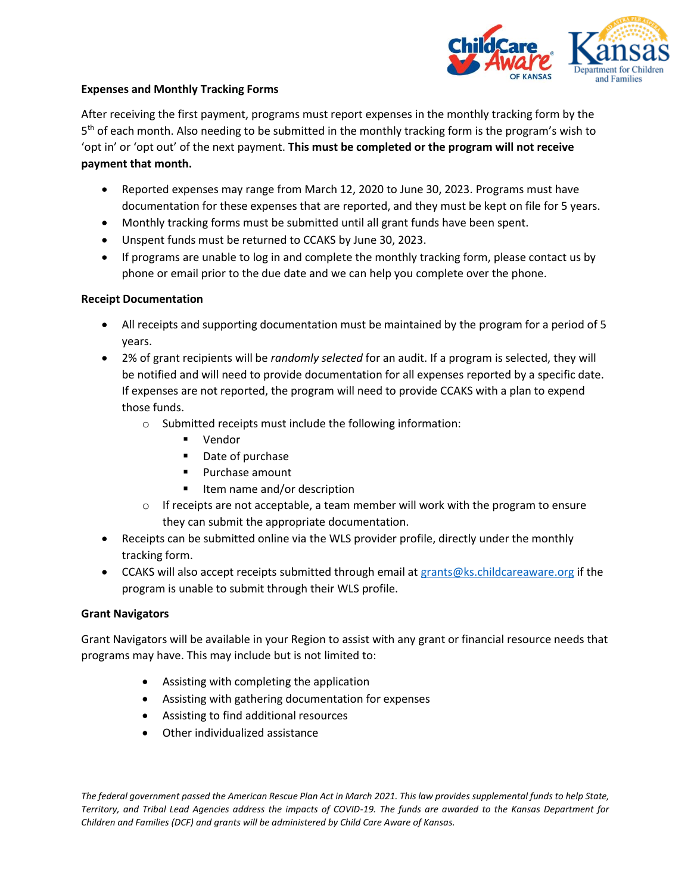

## **Expenses and Monthly Tracking Forms**

After receiving the first payment, programs must report expenses in the monthly tracking form by the 5<sup>th</sup> of each month. Also needing to be submitted in the monthly tracking form is the program's wish to 'opt in' or 'opt out' of the next payment. **This must be completed or the program will not receive payment that month.** 

- Reported expenses may range from March 12, 2020 to June 30, 2023. Programs must have documentation for these expenses that are reported, and they must be kept on file for 5 years.
- Monthly tracking forms must be submitted until all grant funds have been spent.
- Unspent funds must be returned to CCAKS by June 30, 2023.
- If programs are unable to log in and complete the monthly tracking form, please contact us by phone or email prior to the due date and we can help you complete over the phone.

# **Receipt Documentation**

- All receipts and supporting documentation must be maintained by the program for a period of 5 years.
- 2% of grant recipients will be *randomly selected* for an audit. If a program is selected, they will be notified and will need to provide documentation for all expenses reported by a specific date. If expenses are not reported, the program will need to provide CCAKS with a plan to expend those funds.
	- o Submitted receipts must include the following information:
		- Vendor
		- Date of purchase
		- Purchase amount
		- Item name and/or description
	- $\circ$  If receipts are not acceptable, a team member will work with the program to ensure they can submit the appropriate documentation.
- Receipts can be submitted online via the WLS provider profile, directly under the monthly tracking form.
- CCAKS will also accept receipts submitted through email at [grants@ks.childcareaware.org](mailto:grants@ks.childcareaware.org) if the program is unable to submit through their WLS profile.

## **Grant Navigators**

Grant Navigators will be available in your Region to assist with any grant or financial resource needs that programs may have. This may include but is not limited to:

- Assisting with completing the application
- Assisting with gathering documentation for expenses
- Assisting to find additional resources
- Other individualized assistance